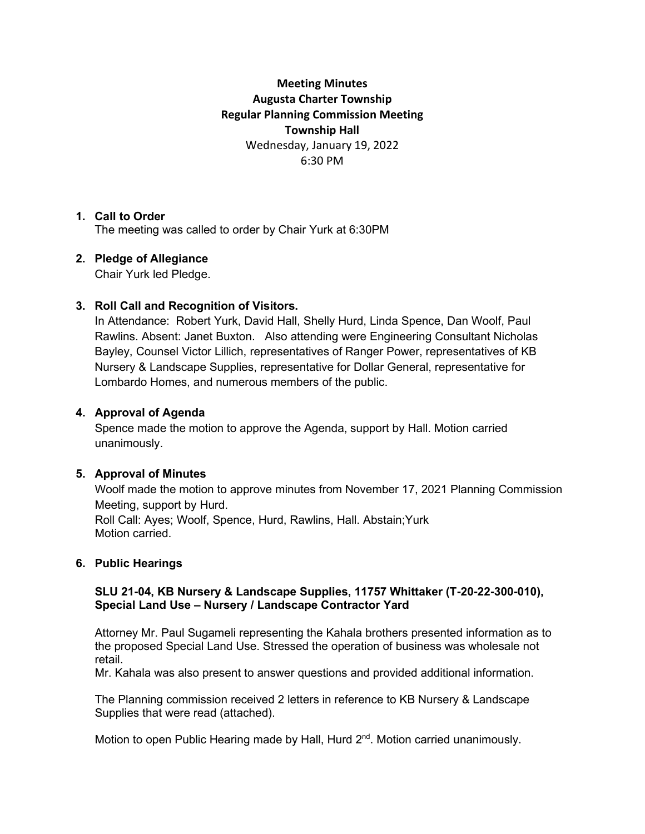# **Meeting Minutes Augusta Charter Township Regular Planning Commission Meeting Township Hall** Wednesday, January 19, 2022 6:30 PM

# **1. Call to Order**

The meeting was called to order by Chair Yurk at 6:30PM

# **2. Pledge of Allegiance**

Chair Yurk led Pledge.

# **3. Roll Call and Recognition of Visitors.**

In Attendance: Robert Yurk, David Hall, Shelly Hurd, Linda Spence, Dan Woolf, Paul Rawlins. Absent: Janet Buxton. Also attending were Engineering Consultant Nicholas Bayley, Counsel Victor Lillich, representatives of Ranger Power, representatives of KB Nursery & Landscape Supplies, representative for Dollar General, representative for Lombardo Homes, and numerous members of the public.

### **4. Approval of Agenda**

Spence made the motion to approve the Agenda, support by Hall. Motion carried unanimously.

### **5. Approval of Minutes**

Woolf made the motion to approve minutes from November 17, 2021 Planning Commission Meeting, support by Hurd.

Roll Call: Ayes; Woolf, Spence, Hurd, Rawlins, Hall. Abstain;Yurk Motion carried.

# **6. Public Hearings**

### **SLU 21-04, KB Nursery & Landscape Supplies, 11757 Whittaker (T-20-22-300-010), Special Land Use – Nursery / Landscape Contractor Yard**

Attorney Mr. Paul Sugameli representing the Kahala brothers presented information as to the proposed Special Land Use. Stressed the operation of business was wholesale not retail.

Mr. Kahala was also present to answer questions and provided additional information.

The Planning commission received 2 letters in reference to KB Nursery & Landscape Supplies that were read (attached).

Motion to open Public Hearing made by Hall, Hurd 2<sup>nd</sup>. Motion carried unanimously.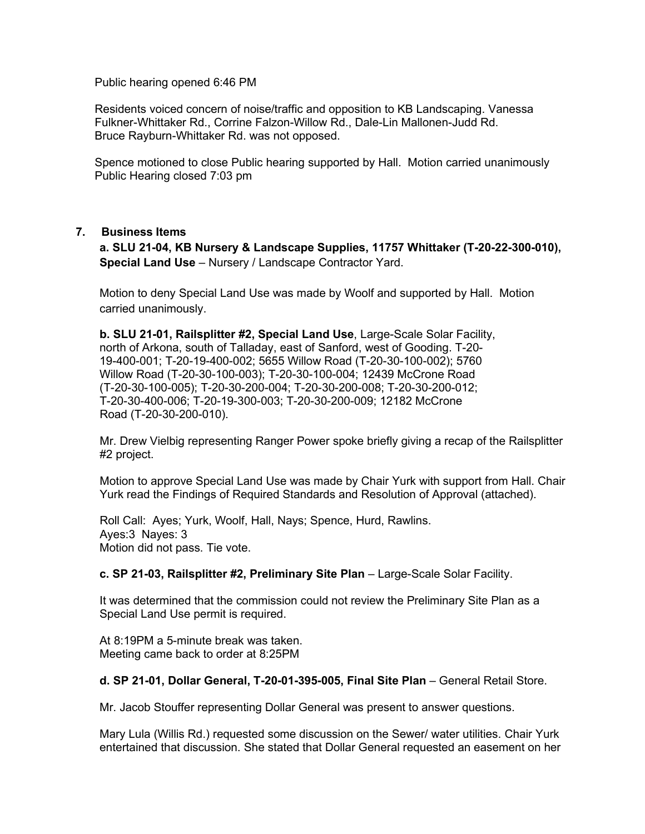Public hearing opened 6:46 PM

Residents voiced concern of noise/traffic and opposition to KB Landscaping. Vanessa Fulkner-Whittaker Rd., Corrine Falzon-Willow Rd., Dale-Lin Mallonen-Judd Rd. Bruce Rayburn-Whittaker Rd. was not opposed.

Spence motioned to close Public hearing supported by Hall. Motion carried unanimously Public Hearing closed 7:03 pm

### **7. Business Items**

**a. SLU 21-04, KB Nursery & Landscape Supplies, 11757 Whittaker (T-20-22-300-010), Special Land Use** – Nursery / Landscape Contractor Yard.

Motion to deny Special Land Use was made by Woolf and supported by Hall.Motion carried unanimously.

**b. SLU 21-01, Railsplitter #2, Special Land Use**, Large-Scale Solar Facility, north of Arkona, south of Talladay, east of Sanford, west of Gooding. T-20- 19-400-001; T-20-19-400-002; 5655 Willow Road (T-20-30-100-002); 5760 Willow Road (T-20-30-100-003); T-20-30-100-004; 12439 McCrone Road (T-20-30-100-005); T-20-30-200-004; T-20-30-200-008; T-20-30-200-012; T-20-30-400-006; T-20-19-300-003; T-20-30-200-009; 12182 McCrone Road (T-20-30-200-010).

Mr. Drew Vielbig representing Ranger Power spoke briefly giving a recap of the Railsplitter #2 project.

Motion to approve Special Land Use was made by Chair Yurk with support from Hall. Chair Yurk read the Findings of Required Standards and Resolution of Approval (attached).

Roll Call: Ayes; Yurk, Woolf, Hall, Nays; Spence, Hurd, Rawlins. Ayes:3 Nayes: 3 Motion did not pass. Tie vote.

**c. SP 21-03, Railsplitter #2, Preliminary Site Plan** – Large-Scale Solar Facility.

It was determined that the commission could not review the Preliminary Site Plan as a Special Land Use permit is required.

At 8:19PM a 5-minute break was taken. Meeting came back to order at 8:25PM

**d. SP 21-01, Dollar General, T-20-01-395-005, Final Site Plan** – General Retail Store.

Mr. Jacob Stouffer representing Dollar General was present to answer questions.

Mary Lula (Willis Rd.) requested some discussion on the Sewer/ water utilities. Chair Yurk entertained that discussion. She stated that Dollar General requested an easement on her